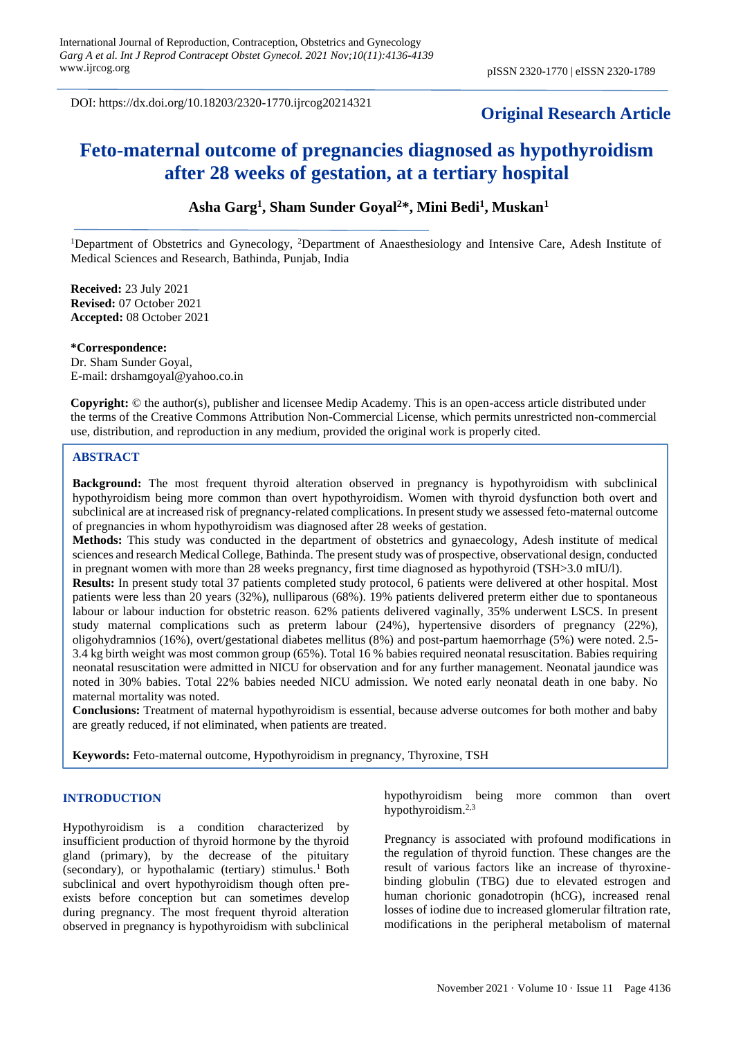DOI: https://dx.doi.org/10.18203/2320-1770.ijrcog20214321

# **Original Research Article**

# **Feto-maternal outcome of pregnancies diagnosed as hypothyroidism after 28 weeks of gestation, at a tertiary hospital**

## **Asha Garg<sup>1</sup> , Sham Sunder Goyal<sup>2</sup>\*, Mini Bedi<sup>1</sup> , Muskan<sup>1</sup>**

<sup>1</sup>Department of Obstetrics and Gynecology, <sup>2</sup>Department of Anaesthesiology and Intensive Care, Adesh Institute of Medical Sciences and Research, Bathinda, Punjab, India

**Received:** 23 July 2021 **Revised:** 07 October 2021 **Accepted:** 08 October 2021

**\*Correspondence:** Dr. Sham Sunder Goyal, E-mail: drshamgoyal@yahoo.co.in

**Copyright:** © the author(s), publisher and licensee Medip Academy. This is an open-access article distributed under the terms of the Creative Commons Attribution Non-Commercial License, which permits unrestricted non-commercial use, distribution, and reproduction in any medium, provided the original work is properly cited.

### **ABSTRACT**

**Background:** The most frequent thyroid alteration observed in pregnancy is hypothyroidism with subclinical hypothyroidism being more common than overt hypothyroidism. Women with thyroid dysfunction both overt and subclinical are at increased risk of pregnancy-related complications. In present study we assessed feto-maternal outcome of pregnancies in whom hypothyroidism was diagnosed after 28 weeks of gestation.

**Methods:** This study was conducted in the department of obstetrics and gynaecology, Adesh institute of medical sciences and research Medical College, Bathinda. The present study was of prospective, observational design, conducted in pregnant women with more than 28 weeks pregnancy, first time diagnosed as hypothyroid (TSH>3.0 mIU/l).

**Results:** In present study total 37 patients completed study protocol, 6 patients were delivered at other hospital. Most patients were less than 20 years (32%), nulliparous (68%). 19% patients delivered preterm either due to spontaneous labour or labour induction for obstetric reason. 62% patients delivered vaginally, 35% underwent LSCS. In present study maternal complications such as preterm labour (24%), hypertensive disorders of pregnancy (22%), oligohydramnios (16%), overt/gestational diabetes mellitus (8%) and post-partum haemorrhage (5%) were noted. 2.5- 3.4 kg birth weight was most common group (65%). Total 16 % babies required neonatal resuscitation. Babies requiring neonatal resuscitation were admitted in NICU for observation and for any further management. Neonatal jaundice was noted in 30% babies. Total 22% babies needed NICU admission. We noted early neonatal death in one baby. No maternal mortality was noted.

**Conclusions:** Treatment of maternal hypothyroidism is essential, because adverse outcomes for both mother and baby are greatly reduced, if not eliminated, when patients are treated.

**Keywords:** Feto-maternal outcome, Hypothyroidism in pregnancy, Thyroxine, TSH

#### **INTRODUCTION**

Hypothyroidism is a condition characterized by insufficient production of thyroid hormone by the thyroid gland (primary), by the decrease of the pituitary (secondary), or hypothalamic (tertiary) stimulus.<sup>1</sup> Both subclinical and overt hypothyroidism though often preexists before conception but can sometimes develop during pregnancy. The most frequent thyroid alteration observed in pregnancy is hypothyroidism with subclinical hypothyroidism being more common than overt hypothyroidism.2,3

Pregnancy is associated with profound modifications in the regulation of thyroid function. These changes are the result of various factors like an increase of thyroxinebinding globulin (TBG) due to elevated estrogen and human chorionic gonadotropin (hCG), increased renal losses of iodine due to increased glomerular filtration rate, modifications in the peripheral metabolism of maternal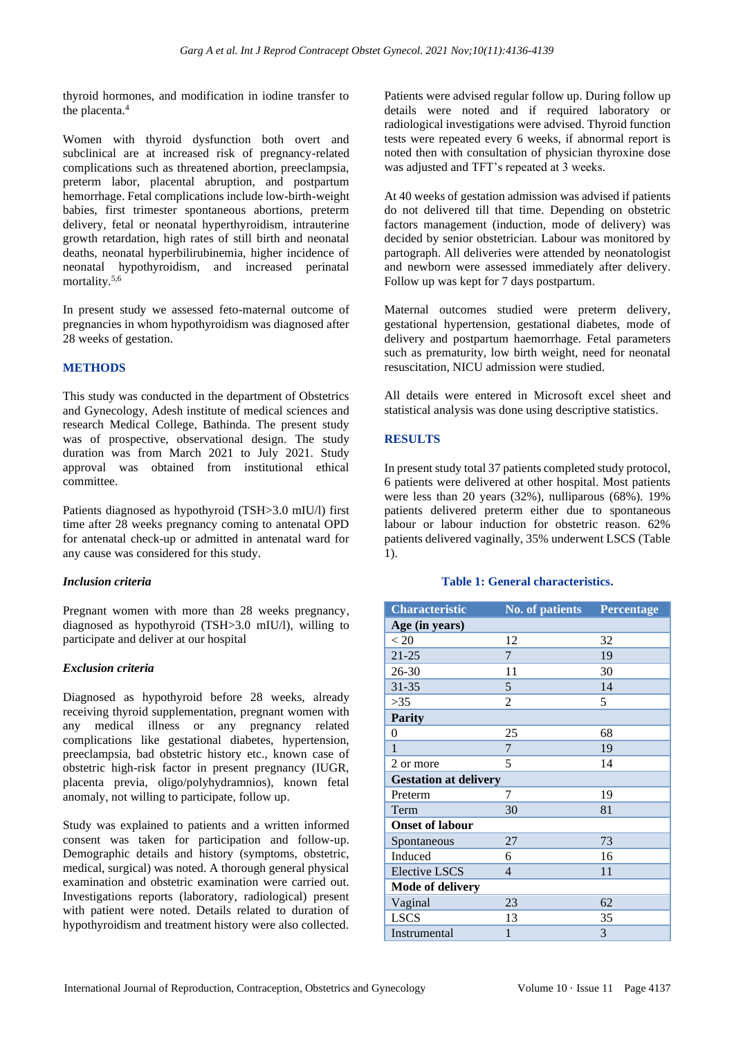thyroid hormones, and modification in iodine transfer to the placenta.<sup>4</sup>

Women with thyroid dysfunction both overt and subclinical are at increased risk of pregnancy-related complications such as threatened abortion, preeclampsia, preterm labor, placental abruption, and postpartum hemorrhage. Fetal complications include low-birth-weight babies, first trimester spontaneous abortions, preterm delivery, fetal or neonatal hyperthyroidism, intrauterine growth retardation, high rates of still birth and neonatal deaths, neonatal hyperbilirubinemia, higher incidence of neonatal hypothyroidism, and increased perinatal mortality.5,6

In present study we assessed feto-maternal outcome of pregnancies in whom hypothyroidism was diagnosed after 28 weeks of gestation.

## **METHODS**

This study was conducted in the department of Obstetrics and Gynecology, Adesh institute of medical sciences and research Medical College, Bathinda. The present study was of prospective, observational design. The study duration was from March 2021 to July 2021. Study approval was obtained from institutional ethical committee.

Patients diagnosed as hypothyroid (TSH>3.0 mIU/l) first time after 28 weeks pregnancy coming to antenatal OPD for antenatal check-up or admitted in antenatal ward for any cause was considered for this study.

## *Inclusion criteria*

Pregnant women with more than 28 weeks pregnancy, diagnosed as hypothyroid (TSH>3.0 mIU/l), willing to participate and deliver at our hospital

## *Exclusion criteria*

Diagnosed as hypothyroid before 28 weeks, already receiving thyroid supplementation, pregnant women with any medical illness or any pregnancy related complications like gestational diabetes, hypertension, preeclampsia, bad obstetric history etc., known case of obstetric high-risk factor in present pregnancy (IUGR, placenta previa, oligo/polyhydramnios), known fetal anomaly, not willing to participate, follow up.

Study was explained to patients and a written informed consent was taken for participation and follow-up. Demographic details and history (symptoms, obstetric, medical, surgical) was noted. A thorough general physical examination and obstetric examination were carried out. Investigations reports (laboratory, radiological) present with patient were noted. Details related to duration of hypothyroidism and treatment history were also collected. Patients were advised regular follow up. During follow up details were noted and if required laboratory or radiological investigations were advised. Thyroid function tests were repeated every 6 weeks, if abnormal report is noted then with consultation of physician thyroxine dose was adjusted and TFT's repeated at 3 weeks.

At 40 weeks of gestation admission was advised if patients do not delivered till that time. Depending on obstetric factors management (induction, mode of delivery) was decided by senior obstetrician. Labour was monitored by partograph. All deliveries were attended by neonatologist and newborn were assessed immediately after delivery. Follow up was kept for 7 days postpartum.

Maternal outcomes studied were preterm delivery, gestational hypertension, gestational diabetes, mode of delivery and postpartum haemorrhage. Fetal parameters such as prematurity, low birth weight, need for neonatal resuscitation, NICU admission were studied.

All details were entered in Microsoft excel sheet and statistical analysis was done using descriptive statistics.

## **RESULTS**

In present study total 37 patients completed study protocol, 6 patients were delivered at other hospital. Most patients were less than 20 years (32%), nulliparous (68%). 19% patients delivered preterm either due to spontaneous labour or labour induction for obstetric reason. 62% patients delivered vaginally, 35% underwent LSCS (Table 1).

## **Table 1: General characteristics.**

| <b>Characteristic</b>        | No. of patients | Percentage |
|------------------------------|-----------------|------------|
| Age (in years)               |                 |            |
| < 20                         | 12              | 32         |
| $21 - 25$                    | 7               | 19         |
| $26 - 30$                    | 11              | 30         |
| 31-35                        | 5               | 14         |
| >35                          | 2               | 5          |
| <b>Parity</b>                |                 |            |
| $\overline{0}$               | 25              | 68         |
| 1                            | 7               | 19         |
| 2 or more                    | 5               | 14         |
| <b>Gestation at delivery</b> |                 |            |
| Preterm                      | 7               | 19         |
| Term                         | 30              | 81         |
| <b>Onset of labour</b>       |                 |            |
| Spontaneous                  | 27              | 73         |
| Induced                      | 6               | 16         |
| <b>Elective LSCS</b>         | 4               | 11         |
| <b>Mode of delivery</b>      |                 |            |
| Vaginal                      | 23              | 62         |
| <b>LSCS</b>                  | 13              | 35         |
| Instrumental                 | 1               | 3          |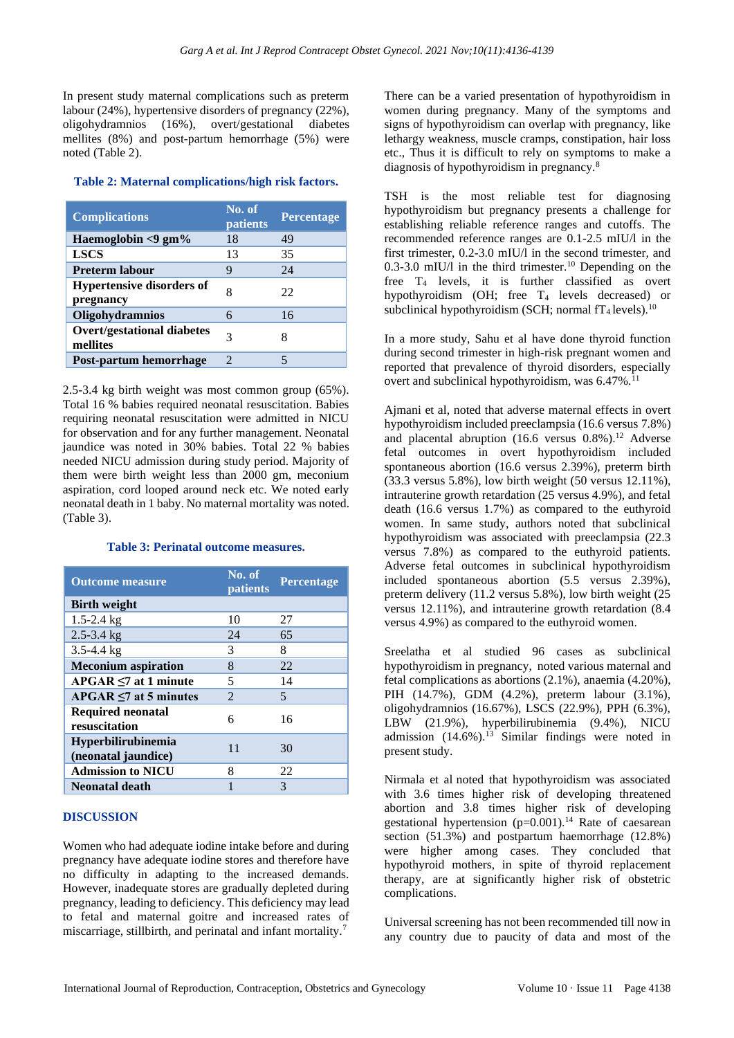In present study maternal complications such as preterm labour (24%), hypertensive disorders of pregnancy (22%), oligohydramnios (16%), overt/gestational diabetes mellites (8%) and post-partum hemorrhage (5%) were noted (Table 2).

#### **Table 2: Maternal complications/high risk factors.**

| <b>Complications</b>                          | No. of<br>patients    | Percentage |
|-----------------------------------------------|-----------------------|------------|
| Haemoglobin $<$ 9 gm $\%$                     | 18                    | 49         |
| <b>LSCS</b>                                   | 13                    | 35         |
| <b>Preterm labour</b>                         | 9                     | 24         |
| <b>Hypertensive disorders of</b><br>pregnancy | 8                     | 22         |
| <b>Oligohydramnios</b>                        |                       | 16         |
| <b>Overt/gestational diabetes</b><br>mellites | 3                     | 8          |
| Post-partum hemorrhage                        | $\mathcal{D}_{\cdot}$ |            |

2.5-3.4 kg birth weight was most common group (65%). Total 16 % babies required neonatal resuscitation. Babies requiring neonatal resuscitation were admitted in NICU for observation and for any further management. Neonatal jaundice was noted in 30% babies. Total 22 % babies needed NICU admission during study period. Majority of them were birth weight less than 2000 gm, meconium aspiration, cord looped around neck etc. We noted early neonatal death in 1 baby. No maternal mortality was noted. (Table 3).

#### **Table 3: Perinatal outcome measures.**

| <b>Outcome measure</b>                           | No. of<br><i>patients</i> | <b>Percentage</b> |
|--------------------------------------------------|---------------------------|-------------------|
| <b>Birth weight</b>                              |                           |                   |
| $1.5 - 2.4$ kg                                   | 10                        | 27                |
| $2.5 - 3.4$ kg                                   | 24                        | 65                |
| $3.5 - 4.4$ kg                                   | 3                         | 8                 |
| <b>Meconium aspiration</b>                       | 8                         | 22                |
| $APGAR \leq 7$ at 1 minute                       | 5                         | 14                |
| $APGAR \leq 7$ at 5 minutes                      | $\mathcal{L}$             | 5                 |
| <b>Required neonatal</b><br>resuscitation        | 6                         | 16                |
| <b>Hyperbilirubinemia</b><br>(neonatal jaundice) | 11                        | 30                |
| <b>Admission to NICU</b>                         | 8                         | 22                |
| Neonatal death                                   |                           | 3                 |

## **DISCUSSION**

Women who had adequate iodine intake before and during pregnancy have adequate iodine stores and therefore have no difficulty in adapting to the increased demands. However, inadequate stores are gradually depleted during pregnancy, leading to deficiency. This deficiency may lead to fetal and maternal goitre and increased rates of miscarriage, stillbirth, and perinatal and infant mortality.<sup>7</sup>

There can be a varied presentation of hypothyroidism in women during pregnancy. Many of the symptoms and signs of hypothyroidism can overlap with pregnancy, like lethargy weakness, muscle cramps, constipation, hair loss etc., Thus it is difficult to rely on symptoms to make a diagnosis of hypothyroidism in pregnancy.<sup>8</sup>

TSH is the most reliable test for diagnosing hypothyroidism but pregnancy presents a challenge for establishing reliable reference ranges and cutoffs. The recommended reference ranges are 0.1-2.5 mIU/l in the first trimester, 0.2-3.0 mIU/l in the second trimester, and 0.3-3.0 mIU/l in the third trimester.<sup>10</sup> Depending on the free T<sup>4</sup> levels, it is further classified as overt hypothyroidism (OH; free  $T_4$  levels decreased) or subclinical hypothyroidism (SCH; normal  $fT_4$  levels).<sup>10</sup>

In a more study, Sahu et al have done thyroid function during second trimester in high-risk pregnant women and reported that prevalence of thyroid disorders, especially overt and subclinical hypothyroidism, was  $6.47\%$ .<sup>11</sup>

Ajmani et al, noted that adverse maternal effects in overt hypothyroidism included preeclampsia (16.6 versus 7.8%) and placental abruption  $(16.6 \text{ versus } 0.8\%)$ .<sup>12</sup> Adverse fetal outcomes in overt hypothyroidism included spontaneous abortion (16.6 versus 2.39%), preterm birth (33.3 versus 5.8%), low birth weight (50 versus 12.11%), intrauterine growth retardation (25 versus 4.9%), and fetal death (16.6 versus 1.7%) as compared to the euthyroid women. In same study, authors noted that subclinical hypothyroidism was associated with preeclampsia (22.3 versus 7.8%) as compared to the euthyroid patients. Adverse fetal outcomes in subclinical hypothyroidism included spontaneous abortion (5.5 versus 2.39%), preterm delivery (11.2 versus 5.8%), low birth weight (25 versus 12.11%), and intrauterine growth retardation (8.4 versus 4.9%) as compared to the euthyroid women.

Sreelatha et al studied 96 cases as subclinical hypothyroidism in pregnancy, noted various maternal and fetal complications as abortions (2.1%), anaemia (4.20%), PIH (14.7%), GDM (4.2%), preterm labour (3.1%), oligohydramnios (16.67%), LSCS (22.9%), PPH (6.3%), LBW (21.9%), hyperbilirubinemia (9.4%), NICU admission  $(14.6\%)$ .<sup>13</sup> Similar findings were noted in present study.

Nirmala et al noted that hypothyroidism was associated with 3.6 times higher risk of developing threatened abortion and 3.8 times higher risk of developing gestational hypertension  $(p=0.001)$ .<sup>14</sup> Rate of caesarean section (51.3%) and postpartum haemorrhage (12.8%) were higher among cases. They concluded that hypothyroid mothers, in spite of thyroid replacement therapy, are at significantly higher risk of obstetric complications.

Universal screening has not been recommended till now in any country due to paucity of data and most of the